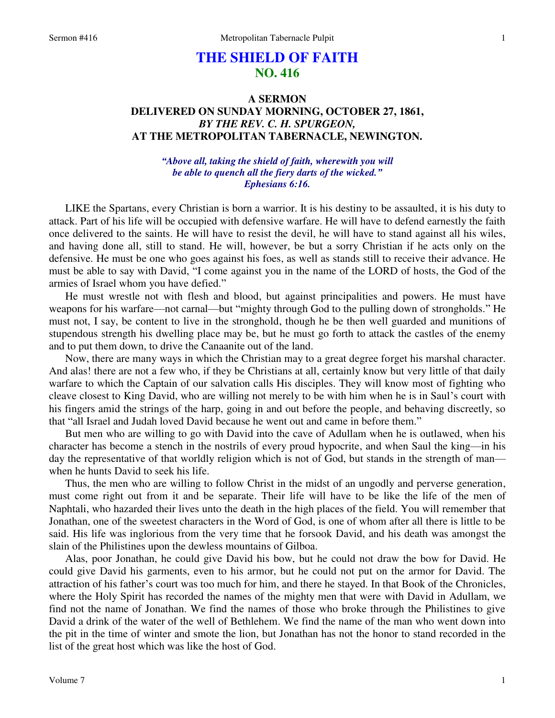# **THE SHIELD OF FAITH NO. 416**

## **A SERMON DELIVERED ON SUNDAY MORNING, OCTOBER 27, 1861,**  *BY THE REV. C. H. SPURGEON,*  **AT THE METROPOLITAN TABERNACLE, NEWINGTON.**

### *"Above all, taking the shield of faith, wherewith you will be able to quench all the fiery darts of the wicked." Ephesians 6:16.*

LIKE the Spartans, every Christian is born a warrior. It is his destiny to be assaulted, it is his duty to attack. Part of his life will be occupied with defensive warfare. He will have to defend earnestly the faith once delivered to the saints. He will have to resist the devil, he will have to stand against all his wiles, and having done all, still to stand. He will, however, be but a sorry Christian if he acts only on the defensive. He must be one who goes against his foes, as well as stands still to receive their advance. He must be able to say with David, "I come against you in the name of the LORD of hosts, the God of the armies of Israel whom you have defied."

He must wrestle not with flesh and blood, but against principalities and powers. He must have weapons for his warfare—not carnal—but "mighty through God to the pulling down of strongholds." He must not, I say, be content to live in the stronghold, though he be then well guarded and munitions of stupendous strength his dwelling place may be, but he must go forth to attack the castles of the enemy and to put them down, to drive the Canaanite out of the land.

Now, there are many ways in which the Christian may to a great degree forget his marshal character. And alas! there are not a few who, if they be Christians at all, certainly know but very little of that daily warfare to which the Captain of our salvation calls His disciples. They will know most of fighting who cleave closest to King David, who are willing not merely to be with him when he is in Saul's court with his fingers amid the strings of the harp, going in and out before the people, and behaving discreetly, so that "all Israel and Judah loved David because he went out and came in before them."

But men who are willing to go with David into the cave of Adullam when he is outlawed, when his character has become a stench in the nostrils of every proud hypocrite, and when Saul the king—in his day the representative of that worldly religion which is not of God, but stands in the strength of man when he hunts David to seek his life.

Thus, the men who are willing to follow Christ in the midst of an ungodly and perverse generation, must come right out from it and be separate. Their life will have to be like the life of the men of Naphtali, who hazarded their lives unto the death in the high places of the field. You will remember that Jonathan, one of the sweetest characters in the Word of God, is one of whom after all there is little to be said. His life was inglorious from the very time that he forsook David, and his death was amongst the slain of the Philistines upon the dewless mountains of Gilboa.

Alas, poor Jonathan, he could give David his bow, but he could not draw the bow for David. He could give David his garments, even to his armor, but he could not put on the armor for David. The attraction of his father's court was too much for him, and there he stayed. In that Book of the Chronicles, where the Holy Spirit has recorded the names of the mighty men that were with David in Adullam, we find not the name of Jonathan. We find the names of those who broke through the Philistines to give David a drink of the water of the well of Bethlehem. We find the name of the man who went down into the pit in the time of winter and smote the lion, but Jonathan has not the honor to stand recorded in the list of the great host which was like the host of God.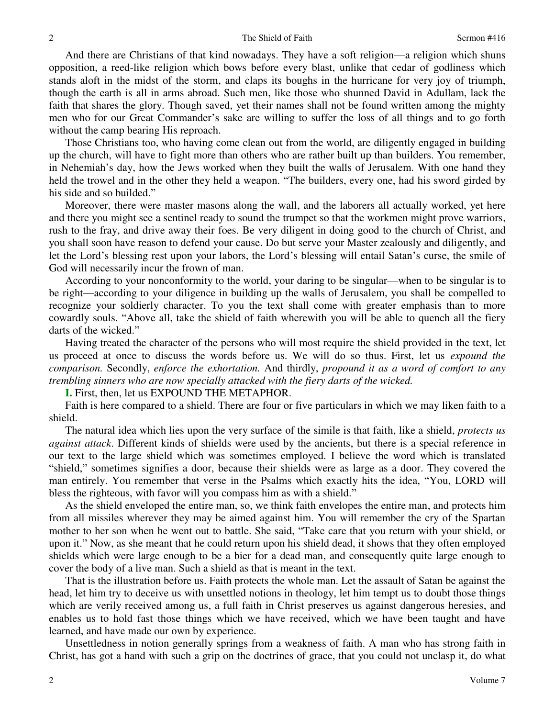And there are Christians of that kind nowadays. They have a soft religion—a religion which shuns opposition, a reed-like religion which bows before every blast, unlike that cedar of godliness which stands aloft in the midst of the storm, and claps its boughs in the hurricane for very joy of triumph, though the earth is all in arms abroad. Such men, like those who shunned David in Adullam, lack the faith that shares the glory. Though saved, yet their names shall not be found written among the mighty men who for our Great Commander's sake are willing to suffer the loss of all things and to go forth without the camp bearing His reproach.

Those Christians too, who having come clean out from the world, are diligently engaged in building up the church, will have to fight more than others who are rather built up than builders. You remember, in Nehemiah's day, how the Jews worked when they built the walls of Jerusalem. With one hand they held the trowel and in the other they held a weapon. "The builders, every one, had his sword girded by his side and so builded."

Moreover, there were master masons along the wall, and the laborers all actually worked, yet here and there you might see a sentinel ready to sound the trumpet so that the workmen might prove warriors, rush to the fray, and drive away their foes. Be very diligent in doing good to the church of Christ, and you shall soon have reason to defend your cause. Do but serve your Master zealously and diligently, and let the Lord's blessing rest upon your labors, the Lord's blessing will entail Satan's curse, the smile of God will necessarily incur the frown of man.

According to your nonconformity to the world, your daring to be singular—when to be singular is to be right—according to your diligence in building up the walls of Jerusalem, you shall be compelled to recognize your soldierly character. To you the text shall come with greater emphasis than to more cowardly souls. "Above all, take the shield of faith wherewith you will be able to quench all the fiery darts of the wicked."

Having treated the character of the persons who will most require the shield provided in the text, let us proceed at once to discuss the words before us. We will do so thus. First, let us *expound the comparison.* Secondly, *enforce the exhortation.* And thirdly, *propound it as a word of comfort to any trembling sinners who are now specially attacked with the fiery darts of the wicked.* 

**I.** First, then, let us EXPOUND THE METAPHOR.

Faith is here compared to a shield. There are four or five particulars in which we may liken faith to a shield.

The natural idea which lies upon the very surface of the simile is that faith, like a shield, *protects us against attack*. Different kinds of shields were used by the ancients, but there is a special reference in our text to the large shield which was sometimes employed. I believe the word which is translated "shield," sometimes signifies a door, because their shields were as large as a door. They covered the man entirely. You remember that verse in the Psalms which exactly hits the idea, "You, LORD will bless the righteous, with favor will you compass him as with a shield."

As the shield enveloped the entire man, so, we think faith envelopes the entire man, and protects him from all missiles wherever they may be aimed against him. You will remember the cry of the Spartan mother to her son when he went out to battle. She said, "Take care that you return with your shield, or upon it." Now, as she meant that he could return upon his shield dead, it shows that they often employed shields which were large enough to be a bier for a dead man, and consequently quite large enough to cover the body of a live man. Such a shield as that is meant in the text.

That is the illustration before us. Faith protects the whole man. Let the assault of Satan be against the head, let him try to deceive us with unsettled notions in theology, let him tempt us to doubt those things which are verily received among us, a full faith in Christ preserves us against dangerous heresies, and enables us to hold fast those things which we have received, which we have been taught and have learned, and have made our own by experience.

Unsettledness in notion generally springs from a weakness of faith. A man who has strong faith in Christ, has got a hand with such a grip on the doctrines of grace, that you could not unclasp it, do what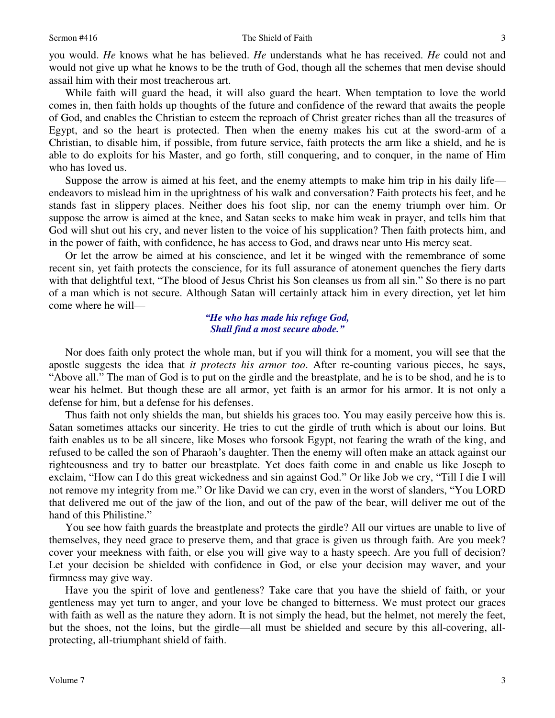you would. *He* knows what he has believed. *He* understands what he has received. *He* could not and would not give up what he knows to be the truth of God, though all the schemes that men devise should assail him with their most treacherous art.

While faith will guard the head, it will also guard the heart. When temptation to love the world comes in, then faith holds up thoughts of the future and confidence of the reward that awaits the people of God, and enables the Christian to esteem the reproach of Christ greater riches than all the treasures of Egypt, and so the heart is protected. Then when the enemy makes his cut at the sword-arm of a Christian, to disable him, if possible, from future service, faith protects the arm like a shield, and he is able to do exploits for his Master, and go forth, still conquering, and to conquer, in the name of Him who has loved us.

Suppose the arrow is aimed at his feet, and the enemy attempts to make him trip in his daily life endeavors to mislead him in the uprightness of his walk and conversation? Faith protects his feet, and he stands fast in slippery places. Neither does his foot slip, nor can the enemy triumph over him. Or suppose the arrow is aimed at the knee, and Satan seeks to make him weak in prayer, and tells him that God will shut out his cry, and never listen to the voice of his supplication? Then faith protects him, and in the power of faith, with confidence, he has access to God, and draws near unto His mercy seat.

Or let the arrow be aimed at his conscience, and let it be winged with the remembrance of some recent sin, yet faith protects the conscience, for its full assurance of atonement quenches the fiery darts with that delightful text, "The blood of Jesus Christ his Son cleanses us from all sin." So there is no part of a man which is not secure. Although Satan will certainly attack him in every direction, yet let him come where he will—

#### *"He who has made his refuge God, Shall find a most secure abode."*

Nor does faith only protect the whole man, but if you will think for a moment, you will see that the apostle suggests the idea that *it protects his armor too*. After re-counting various pieces, he says, "Above all." The man of God is to put on the girdle and the breastplate, and he is to be shod, and he is to wear his helmet. But though these are all armor, yet faith is an armor for his armor. It is not only a defense for him, but a defense for his defenses.

Thus faith not only shields the man, but shields his graces too. You may easily perceive how this is. Satan sometimes attacks our sincerity. He tries to cut the girdle of truth which is about our loins. But faith enables us to be all sincere, like Moses who forsook Egypt, not fearing the wrath of the king, and refused to be called the son of Pharaoh's daughter. Then the enemy will often make an attack against our righteousness and try to batter our breastplate. Yet does faith come in and enable us like Joseph to exclaim, "How can I do this great wickedness and sin against God." Or like Job we cry, "Till I die I will not remove my integrity from me." Or like David we can cry, even in the worst of slanders, "You LORD that delivered me out of the jaw of the lion, and out of the paw of the bear, will deliver me out of the hand of this Philistine."

You see how faith guards the breastplate and protects the girdle? All our virtues are unable to live of themselves, they need grace to preserve them, and that grace is given us through faith. Are you meek? cover your meekness with faith, or else you will give way to a hasty speech. Are you full of decision? Let your decision be shielded with confidence in God, or else your decision may waver, and your firmness may give way.

Have you the spirit of love and gentleness? Take care that you have the shield of faith, or your gentleness may yet turn to anger, and your love be changed to bitterness. We must protect our graces with faith as well as the nature they adorn. It is not simply the head, but the helmet, not merely the feet, but the shoes, not the loins, but the girdle—all must be shielded and secure by this all-covering, allprotecting, all-triumphant shield of faith.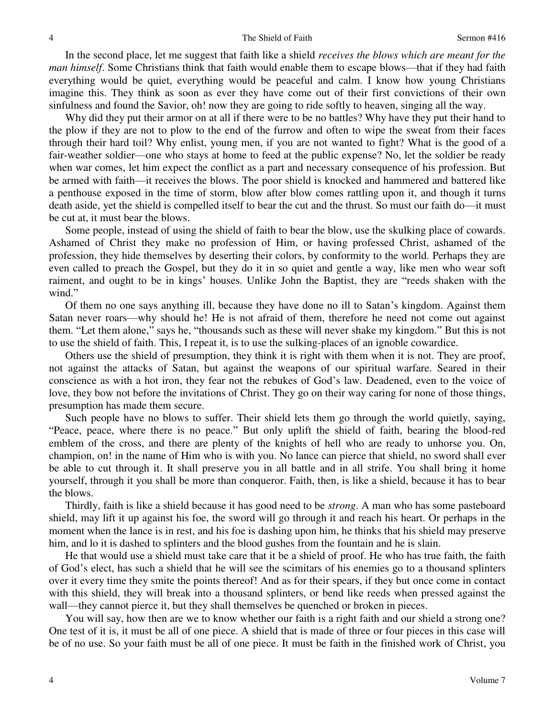#### The Shield of Faith Sermon #416

In the second place, let me suggest that faith like a shield *receives the blows which are meant for the man himself*. Some Christians think that faith would enable them to escape blows—that if they had faith everything would be quiet, everything would be peaceful and calm. I know how young Christians imagine this. They think as soon as ever they have come out of their first convictions of their own sinfulness and found the Savior, oh! now they are going to ride softly to heaven, singing all the way.

Why did they put their armor on at all if there were to be no battles? Why have they put their hand to the plow if they are not to plow to the end of the furrow and often to wipe the sweat from their faces through their hard toil? Why enlist, young men, if you are not wanted to fight? What is the good of a fair-weather soldier—one who stays at home to feed at the public expense? No, let the soldier be ready when war comes, let him expect the conflict as a part and necessary consequence of his profession. But be armed with faith—it receives the blows. The poor shield is knocked and hammered and battered like a penthouse exposed in the time of storm, blow after blow comes rattling upon it, and though it turns death aside, yet the shield is compelled itself to bear the cut and the thrust. So must our faith do—it must be cut at, it must bear the blows.

Some people, instead of using the shield of faith to bear the blow, use the skulking place of cowards. Ashamed of Christ they make no profession of Him, or having professed Christ, ashamed of the profession, they hide themselves by deserting their colors, by conformity to the world. Perhaps they are even called to preach the Gospel, but they do it in so quiet and gentle a way, like men who wear soft raiment, and ought to be in kings' houses. Unlike John the Baptist, they are "reeds shaken with the wind."

Of them no one says anything ill, because they have done no ill to Satan's kingdom. Against them Satan never roars—why should he! He is not afraid of them, therefore he need not come out against them. "Let them alone," says he, "thousands such as these will never shake my kingdom." But this is not to use the shield of faith. This, I repeat it, is to use the sulking-places of an ignoble cowardice.

Others use the shield of presumption, they think it is right with them when it is not. They are proof, not against the attacks of Satan, but against the weapons of our spiritual warfare. Seared in their conscience as with a hot iron, they fear not the rebukes of God's law. Deadened, even to the voice of love, they bow not before the invitations of Christ. They go on their way caring for none of those things, presumption has made them secure.

Such people have no blows to suffer. Their shield lets them go through the world quietly, saying, "Peace, peace, where there is no peace." But only uplift the shield of faith, bearing the blood-red emblem of the cross, and there are plenty of the knights of hell who are ready to unhorse you. On, champion, on! in the name of Him who is with you. No lance can pierce that shield, no sword shall ever be able to cut through it. It shall preserve you in all battle and in all strife. You shall bring it home yourself, through it you shall be more than conqueror. Faith, then, is like a shield, because it has to bear the blows.

Thirdly, faith is like a shield because it has good need to be *strong*. A man who has some pasteboard shield, may lift it up against his foe, the sword will go through it and reach his heart. Or perhaps in the moment when the lance is in rest, and his foe is dashing upon him, he thinks that his shield may preserve him, and lo it is dashed to splinters and the blood gushes from the fountain and he is slain.

He that would use a shield must take care that it be a shield of proof. He who has true faith, the faith of God's elect, has such a shield that he will see the scimitars of his enemies go to a thousand splinters over it every time they smite the points thereof! And as for their spears, if they but once come in contact with this shield, they will break into a thousand splinters, or bend like reeds when pressed against the wall—they cannot pierce it, but they shall themselves be quenched or broken in pieces.

You will say, how then are we to know whether our faith is a right faith and our shield a strong one? One test of it is, it must be all of one piece. A shield that is made of three or four pieces in this case will be of no use. So your faith must be all of one piece. It must be faith in the finished work of Christ, you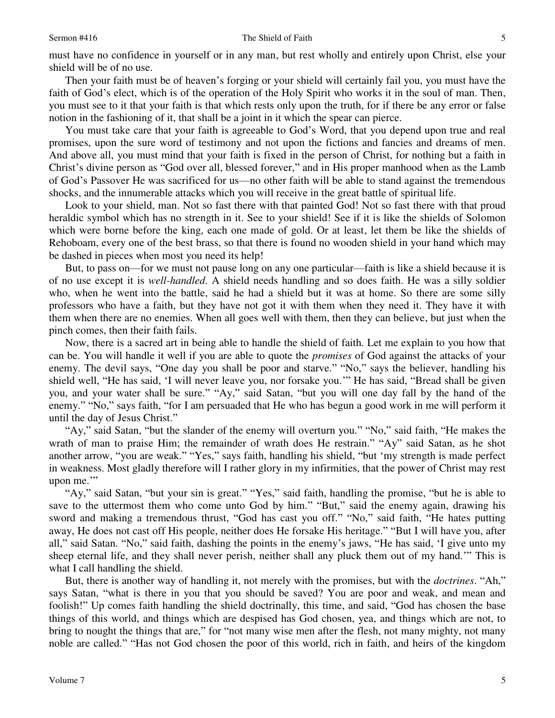must have no confidence in yourself or in any man, but rest wholly and entirely upon Christ, else your shield will be of no use.

Then your faith must be of heaven's forging or your shield will certainly fail you, you must have the faith of God's elect, which is of the operation of the Holy Spirit who works it in the soul of man. Then, you must see to it that your faith is that which rests only upon the truth, for if there be any error or false notion in the fashioning of it, that shall be a joint in it which the spear can pierce.

You must take care that your faith is agreeable to God's Word, that you depend upon true and real promises, upon the sure word of testimony and not upon the fictions and fancies and dreams of men. And above all, you must mind that your faith is fixed in the person of Christ, for nothing but a faith in Christ's divine person as "God over all, blessed forever," and in His proper manhood when as the Lamb of God's Passover He was sacrificed for us—no other faith will be able to stand against the tremendous shocks, and the innumerable attacks which you will receive in the great battle of spiritual life.

Look to your shield, man. Not so fast there with that painted God! Not so fast there with that proud heraldic symbol which has no strength in it. See to your shield! See if it is like the shields of Solomon which were borne before the king, each one made of gold. Or at least, let them be like the shields of Rehoboam, every one of the best brass, so that there is found no wooden shield in your hand which may be dashed in pieces when most you need its help!

But, to pass on—for we must not pause long on any one particular—faith is like a shield because it is of no use except it is *well-handled*. A shield needs handling and so does faith. He was a silly soldier who, when he went into the battle, said he had a shield but it was at home. So there are some silly professors who have a faith, but they have not got it with them when they need it. They have it with them when there are no enemies. When all goes well with them, then they can believe, but just when the pinch comes, then their faith fails.

Now, there is a sacred art in being able to handle the shield of faith. Let me explain to you how that can be. You will handle it well if you are able to quote the *promises* of God against the attacks of your enemy. The devil says, "One day you shall be poor and starve." "No," says the believer, handling his shield well, "He has said, 'I will never leave you, nor forsake you.'" He has said, "Bread shall be given you, and your water shall be sure." "Ay," said Satan, "but you will one day fall by the hand of the enemy." "No," says faith, "for I am persuaded that He who has begun a good work in me will perform it until the day of Jesus Christ."

"Ay," said Satan, "but the slander of the enemy will overturn you." "No," said faith, "He makes the wrath of man to praise Him; the remainder of wrath does He restrain." "Ay" said Satan, as he shot another arrow, "you are weak." "Yes," says faith, handling his shield, "but 'my strength is made perfect in weakness. Most gladly therefore will I rather glory in my infirmities, that the power of Christ may rest upon me."

"Ay," said Satan, "but your sin is great." "Yes," said faith, handling the promise, "but he is able to save to the uttermost them who come unto God by him." "But," said the enemy again, drawing his sword and making a tremendous thrust, "God has cast you off." "No," said faith, "He hates putting away, He does not cast off His people, neither does He forsake His heritage." "But I will have you, after all," said Satan. "No," said faith, dashing the points in the enemy's jaws, "He has said, 'I give unto my sheep eternal life, and they shall never perish, neither shall any pluck them out of my hand.'" This is what I call handling the shield.

But, there is another way of handling it, not merely with the promises, but with the *doctrines*. "Ah," says Satan, "what is there in you that you should be saved? You are poor and weak, and mean and foolish!" Up comes faith handling the shield doctrinally, this time, and said, "God has chosen the base things of this world, and things which are despised has God chosen, yea, and things which are not, to bring to nought the things that are," for "not many wise men after the flesh, not many mighty, not many noble are called." "Has not God chosen the poor of this world, rich in faith, and heirs of the kingdom

5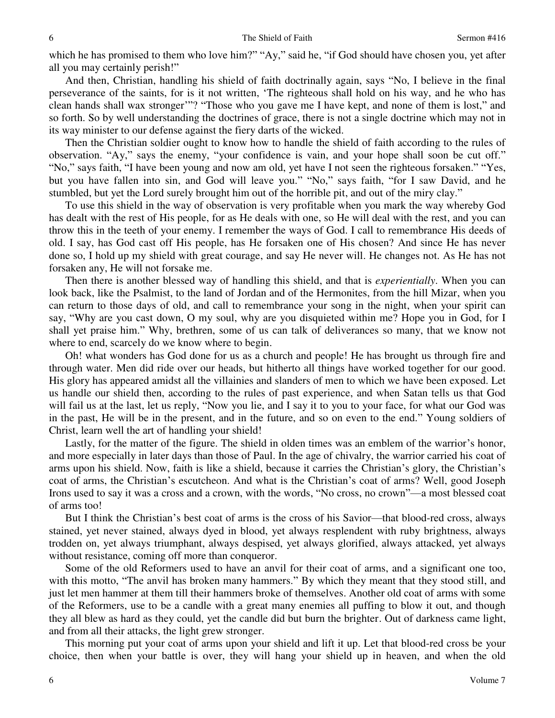which he has promised to them who love him?" "Ay," said he, "if God should have chosen you, yet after all you may certainly perish!"

And then, Christian, handling his shield of faith doctrinally again, says "No, I believe in the final perseverance of the saints, for is it not written, 'The righteous shall hold on his way, and he who has clean hands shall wax stronger'"? "Those who you gave me I have kept, and none of them is lost," and so forth. So by well understanding the doctrines of grace, there is not a single doctrine which may not in its way minister to our defense against the fiery darts of the wicked.

Then the Christian soldier ought to know how to handle the shield of faith according to the rules of observation. "Ay," says the enemy, "your confidence is vain, and your hope shall soon be cut off." "No," says faith, "I have been young and now am old, yet have I not seen the righteous forsaken." "Yes, but you have fallen into sin, and God will leave you." "No," says faith, "for I saw David, and he stumbled, but yet the Lord surely brought him out of the horrible pit, and out of the miry clay."

To use this shield in the way of observation is very profitable when you mark the way whereby God has dealt with the rest of His people, for as He deals with one, so He will deal with the rest, and you can throw this in the teeth of your enemy. I remember the ways of God. I call to remembrance His deeds of old. I say, has God cast off His people, has He forsaken one of His chosen? And since He has never done so, I hold up my shield with great courage, and say He never will. He changes not. As He has not forsaken any, He will not forsake me.

Then there is another blessed way of handling this shield, and that is *experientially*. When you can look back, like the Psalmist, to the land of Jordan and of the Hermonites, from the hill Mizar, when you can return to those days of old, and call to remembrance your song in the night, when your spirit can say, "Why are you cast down, O my soul, why are you disquieted within me? Hope you in God, for I shall yet praise him." Why, brethren, some of us can talk of deliverances so many, that we know not where to end, scarcely do we know where to begin.

Oh! what wonders has God done for us as a church and people! He has brought us through fire and through water. Men did ride over our heads, but hitherto all things have worked together for our good. His glory has appeared amidst all the villainies and slanders of men to which we have been exposed. Let us handle our shield then, according to the rules of past experience, and when Satan tells us that God will fail us at the last, let us reply, "Now you lie, and I say it to you to your face, for what our God was in the past, He will be in the present, and in the future, and so on even to the end." Young soldiers of Christ, learn well the art of handling your shield!

Lastly, for the matter of the figure. The shield in olden times was an emblem of the warrior's honor, and more especially in later days than those of Paul. In the age of chivalry, the warrior carried his coat of arms upon his shield. Now, faith is like a shield, because it carries the Christian's glory, the Christian's coat of arms, the Christian's escutcheon. And what is the Christian's coat of arms? Well, good Joseph Irons used to say it was a cross and a crown, with the words, "No cross, no crown"—a most blessed coat of arms too!

But I think the Christian's best coat of arms is the cross of his Savior—that blood-red cross, always stained, yet never stained, always dyed in blood, yet always resplendent with ruby brightness, always trodden on, yet always triumphant, always despised, yet always glorified, always attacked, yet always without resistance, coming off more than conqueror.

Some of the old Reformers used to have an anvil for their coat of arms, and a significant one too, with this motto, "The anvil has broken many hammers." By which they meant that they stood still, and just let men hammer at them till their hammers broke of themselves. Another old coat of arms with some of the Reformers, use to be a candle with a great many enemies all puffing to blow it out, and though they all blew as hard as they could, yet the candle did but burn the brighter. Out of darkness came light, and from all their attacks, the light grew stronger.

This morning put your coat of arms upon your shield and lift it up. Let that blood-red cross be your choice, then when your battle is over, they will hang your shield up in heaven, and when the old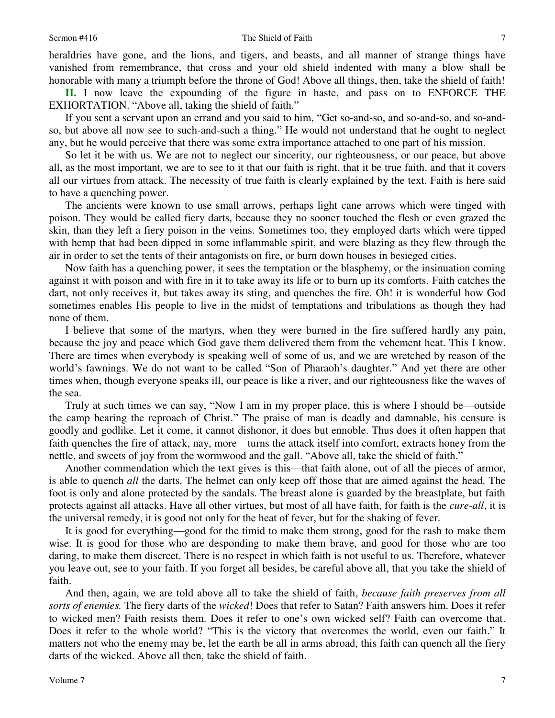heraldries have gone, and the lions, and tigers, and beasts, and all manner of strange things have vanished from remembrance, that cross and your old shield indented with many a blow shall be honorable with many a triumph before the throne of God! Above all things, then, take the shield of faith!

**II.** I now leave the expounding of the figure in haste, and pass on to ENFORCE THE EXHORTATION. "Above all, taking the shield of faith."

If you sent a servant upon an errand and you said to him, "Get so-and-so, and so-and-so, and so-andso, but above all now see to such-and-such a thing." He would not understand that he ought to neglect any, but he would perceive that there was some extra importance attached to one part of his mission.

So let it be with us. We are not to neglect our sincerity, our righteousness, or our peace, but above all, as the most important, we are to see to it that our faith is right, that it be true faith, and that it covers all our virtues from attack. The necessity of true faith is clearly explained by the text. Faith is here said to have a quenching power.

The ancients were known to use small arrows, perhaps light cane arrows which were tinged with poison. They would be called fiery darts, because they no sooner touched the flesh or even grazed the skin, than they left a fiery poison in the veins. Sometimes too, they employed darts which were tipped with hemp that had been dipped in some inflammable spirit, and were blazing as they flew through the air in order to set the tents of their antagonists on fire, or burn down houses in besieged cities.

Now faith has a quenching power, it sees the temptation or the blasphemy, or the insinuation coming against it with poison and with fire in it to take away its life or to burn up its comforts. Faith catches the dart, not only receives it, but takes away its sting, and quenches the fire. Oh! it is wonderful how God sometimes enables His people to live in the midst of temptations and tribulations as though they had none of them.

I believe that some of the martyrs, when they were burned in the fire suffered hardly any pain, because the joy and peace which God gave them delivered them from the vehement heat. This I know. There are times when everybody is speaking well of some of us, and we are wretched by reason of the world's fawnings. We do not want to be called "Son of Pharaoh's daughter." And yet there are other times when, though everyone speaks ill, our peace is like a river, and our righteousness like the waves of the sea.

Truly at such times we can say, "Now I am in my proper place, this is where I should be—outside the camp bearing the reproach of Christ." The praise of man is deadly and damnable, his censure is goodly and godlike. Let it come, it cannot dishonor, it does but ennoble. Thus does it often happen that faith quenches the fire of attack, nay, more—turns the attack itself into comfort, extracts honey from the nettle, and sweets of joy from the wormwood and the gall. "Above all, take the shield of faith."

Another commendation which the text gives is this—that faith alone, out of all the pieces of armor, is able to quench *all* the darts. The helmet can only keep off those that are aimed against the head. The foot is only and alone protected by the sandals. The breast alone is guarded by the breastplate, but faith protects against all attacks. Have all other virtues, but most of all have faith, for faith is the *cure-all*, it is the universal remedy, it is good not only for the heat of fever, but for the shaking of fever.

It is good for everything—good for the timid to make them strong, good for the rash to make them wise. It is good for those who are desponding to make them brave, and good for those who are too daring, to make them discreet. There is no respect in which faith is not useful to us. Therefore, whatever you leave out, see to your faith. If you forget all besides, be careful above all, that you take the shield of faith.

And then, again, we are told above all to take the shield of faith, *because faith preserves from all sorts of enemies.* The fiery darts of the *wicked*! Does that refer to Satan? Faith answers him. Does it refer to wicked men? Faith resists them. Does it refer to one's own wicked self? Faith can overcome that. Does it refer to the whole world? "This is the victory that overcomes the world, even our faith." It matters not who the enemy may be, let the earth be all in arms abroad, this faith can quench all the fiery darts of the wicked. Above all then, take the shield of faith.

7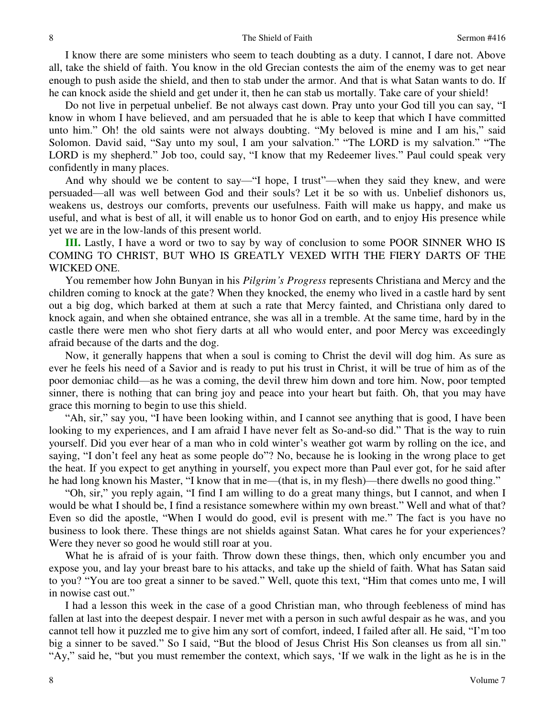I know there are some ministers who seem to teach doubting as a duty. I cannot, I dare not. Above all, take the shield of faith. You know in the old Grecian contests the aim of the enemy was to get near enough to push aside the shield, and then to stab under the armor. And that is what Satan wants to do. If he can knock aside the shield and get under it, then he can stab us mortally. Take care of your shield!

Do not live in perpetual unbelief. Be not always cast down. Pray unto your God till you can say, "I know in whom I have believed, and am persuaded that he is able to keep that which I have committed unto him." Oh! the old saints were not always doubting. "My beloved is mine and I am his," said Solomon. David said, "Say unto my soul, I am your salvation." "The LORD is my salvation." "The LORD is my shepherd." Job too, could say, "I know that my Redeemer lives." Paul could speak very confidently in many places.

And why should we be content to say—"I hope, I trust"—when they said they knew, and were persuaded—all was well between God and their souls? Let it be so with us. Unbelief dishonors us, weakens us, destroys our comforts, prevents our usefulness. Faith will make us happy, and make us useful, and what is best of all, it will enable us to honor God on earth, and to enjoy His presence while yet we are in the low-lands of this present world.

**III.** Lastly, I have a word or two to say by way of conclusion to some POOR SINNER WHO IS COMING TO CHRIST, BUT WHO IS GREATLY VEXED WITH THE FIERY DARTS OF THE WICKED ONE.

You remember how John Bunyan in his *Pilgrim's Progress* represents Christiana and Mercy and the children coming to knock at the gate? When they knocked, the enemy who lived in a castle hard by sent out a big dog, which barked at them at such a rate that Mercy fainted, and Christiana only dared to knock again, and when she obtained entrance, she was all in a tremble. At the same time, hard by in the castle there were men who shot fiery darts at all who would enter, and poor Mercy was exceedingly afraid because of the darts and the dog.

Now, it generally happens that when a soul is coming to Christ the devil will dog him. As sure as ever he feels his need of a Savior and is ready to put his trust in Christ, it will be true of him as of the poor demoniac child—as he was a coming, the devil threw him down and tore him. Now, poor tempted sinner, there is nothing that can bring joy and peace into your heart but faith. Oh, that you may have grace this morning to begin to use this shield.

"Ah, sir," say you, "I have been looking within, and I cannot see anything that is good, I have been looking to my experiences, and I am afraid I have never felt as So-and-so did." That is the way to ruin yourself. Did you ever hear of a man who in cold winter's weather got warm by rolling on the ice, and saying, "I don't feel any heat as some people do"? No, because he is looking in the wrong place to get the heat. If you expect to get anything in yourself, you expect more than Paul ever got, for he said after he had long known his Master, "I know that in me—(that is, in my flesh)—there dwells no good thing."

"Oh, sir," you reply again, "I find I am willing to do a great many things, but I cannot, and when I would be what I should be, I find a resistance somewhere within my own breast." Well and what of that? Even so did the apostle, "When I would do good, evil is present with me." The fact is you have no business to look there. These things are not shields against Satan. What cares he for your experiences? Were they never so good he would still roar at you.

What he is afraid of is your faith. Throw down these things, then, which only encumber you and expose you, and lay your breast bare to his attacks, and take up the shield of faith. What has Satan said to you? "You are too great a sinner to be saved." Well, quote this text, "Him that comes unto me, I will in nowise cast out."

I had a lesson this week in the case of a good Christian man, who through feebleness of mind has fallen at last into the deepest despair. I never met with a person in such awful despair as he was, and you cannot tell how it puzzled me to give him any sort of comfort, indeed, I failed after all. He said, "I'm too big a sinner to be saved." So I said, "But the blood of Jesus Christ His Son cleanses us from all sin." "Ay," said he, "but you must remember the context, which says, 'If we walk in the light as he is in the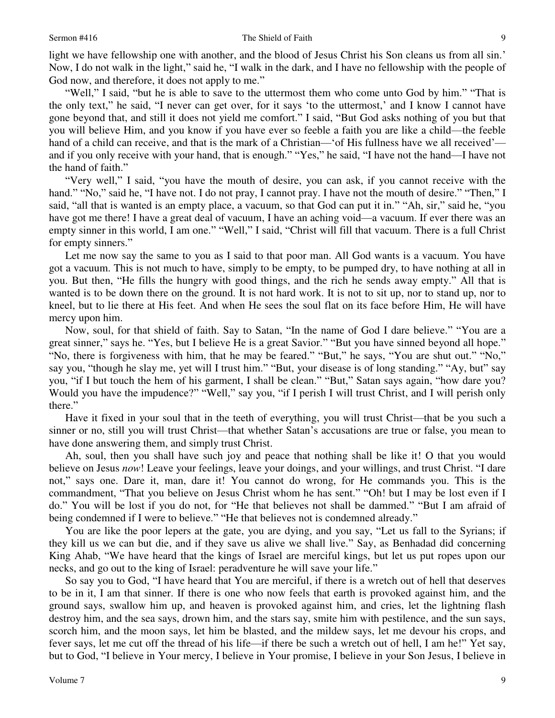light we have fellowship one with another, and the blood of Jesus Christ his Son cleans us from all sin.' Now, I do not walk in the light," said he, "I walk in the dark, and I have no fellowship with the people of God now, and therefore, it does not apply to me."

"Well," I said, "but he is able to save to the uttermost them who come unto God by him." "That is the only text," he said, "I never can get over, for it says 'to the uttermost,' and I know I cannot have gone beyond that, and still it does not yield me comfort." I said, "But God asks nothing of you but that you will believe Him, and you know if you have ever so feeble a faith you are like a child—the feeble hand of a child can receive, and that is the mark of a Christian—'of His fullness have we all received' and if you only receive with your hand, that is enough." "Yes," he said, "I have not the hand—I have not the hand of faith."

"Very well," I said, "you have the mouth of desire, you can ask, if you cannot receive with the hand." "No," said he, "I have not. I do not pray, I cannot pray. I have not the mouth of desire." "Then," I said, "all that is wanted is an empty place, a vacuum, so that God can put it in." "Ah, sir," said he, "you have got me there! I have a great deal of vacuum, I have an aching void—a vacuum. If ever there was an empty sinner in this world, I am one." "Well," I said, "Christ will fill that vacuum. There is a full Christ for empty sinners."

Let me now say the same to you as I said to that poor man. All God wants is a vacuum. You have got a vacuum. This is not much to have, simply to be empty, to be pumped dry, to have nothing at all in you. But then, "He fills the hungry with good things, and the rich he sends away empty." All that is wanted is to be down there on the ground. It is not hard work. It is not to sit up, nor to stand up, nor to kneel, but to lie there at His feet. And when He sees the soul flat on its face before Him, He will have mercy upon him.

Now, soul, for that shield of faith. Say to Satan, "In the name of God I dare believe." "You are a great sinner," says he. "Yes, but I believe He is a great Savior." "But you have sinned beyond all hope." "No, there is forgiveness with him, that he may be feared." "But," he says, "You are shut out." "No," say you, "though he slay me, yet will I trust him." "But, your disease is of long standing." "Ay, but" say you, "if I but touch the hem of his garment, I shall be clean." "But," Satan says again, "how dare you? Would you have the impudence?" "Well," say you, "if I perish I will trust Christ, and I will perish only there."

Have it fixed in your soul that in the teeth of everything, you will trust Christ—that be you such a sinner or no, still you will trust Christ—that whether Satan's accusations are true or false, you mean to have done answering them, and simply trust Christ.

Ah, soul, then you shall have such joy and peace that nothing shall be like it! O that you would believe on Jesus *now*! Leave your feelings, leave your doings, and your willings, and trust Christ. "I dare not," says one. Dare it, man, dare it! You cannot do wrong, for He commands you. This is the commandment, "That you believe on Jesus Christ whom he has sent." "Oh! but I may be lost even if I do." You will be lost if you do not, for "He that believes not shall be dammed." "But I am afraid of being condemned if I were to believe." "He that believes not is condemned already."

You are like the poor lepers at the gate, you are dying, and you say, "Let us fall to the Syrians; if they kill us we can but die, and if they save us alive we shall live." Say, as Benhadad did concerning King Ahab, "We have heard that the kings of Israel are merciful kings, but let us put ropes upon our necks, and go out to the king of Israel: peradventure he will save your life."

So say you to God, "I have heard that You are merciful, if there is a wretch out of hell that deserves to be in it, I am that sinner. If there is one who now feels that earth is provoked against him, and the ground says, swallow him up, and heaven is provoked against him, and cries, let the lightning flash destroy him, and the sea says, drown him, and the stars say, smite him with pestilence, and the sun says, scorch him, and the moon says, let him be blasted, and the mildew says, let me devour his crops, and fever says, let me cut off the thread of his life—if there be such a wretch out of hell, I am he!" Yet say, but to God, "I believe in Your mercy, I believe in Your promise, I believe in your Son Jesus, I believe in

9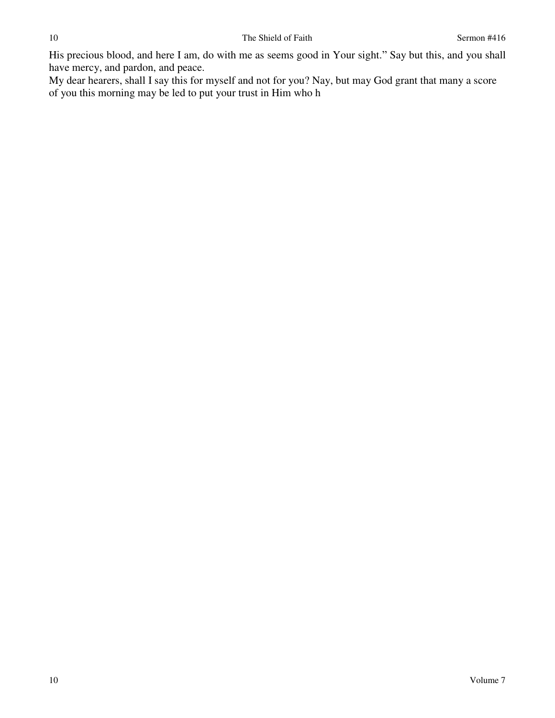His precious blood, and here I am, do with me as seems good in Your sight." Say but this, and you shall have mercy, and pardon, and peace.

My dear hearers, shall I say this for myself and not for you? Nay, but may God grant that many a score of you this morning may be led to put your trust in Him who h